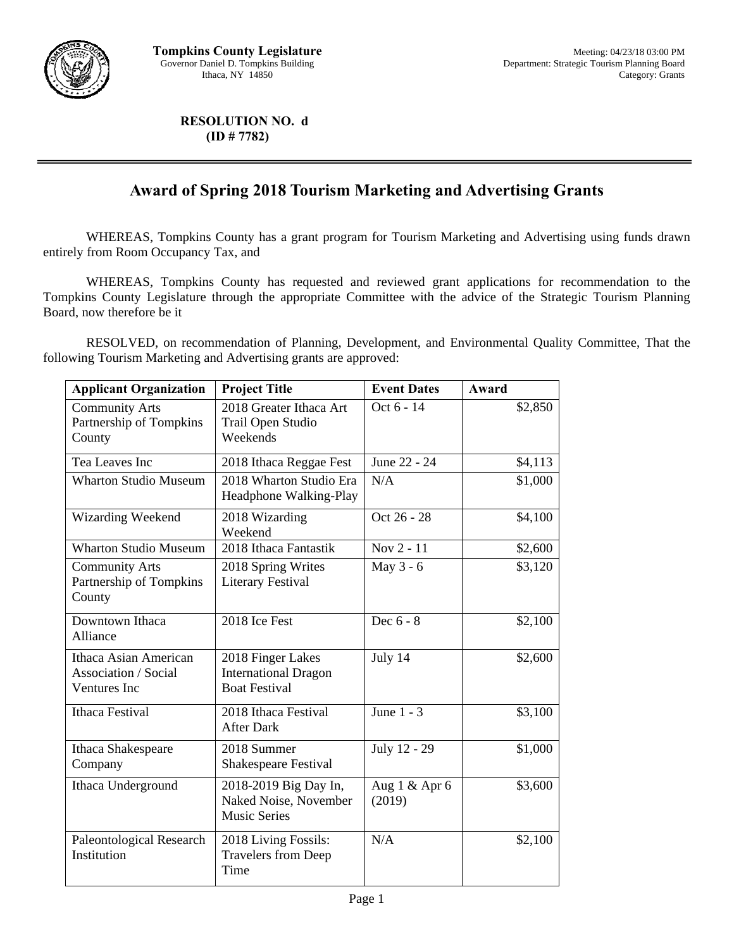

**RESOLUTION NO. d (ID # 7782)** 

## **Award of Spring 2018 Tourism Marketing and Advertising Grants**

WHEREAS, Tompkins County has a grant program for Tourism Marketing and Advertising using funds drawn entirely from Room Occupancy Tax, and

 WHEREAS, Tompkins County has requested and reviewed grant applications for recommendation to the Tompkins County Legislature through the appropriate Committee with the advice of the Strategic Tourism Planning Board, now therefore be it

 RESOLVED, on recommendation of Planning, Development, and Environmental Quality Committee, That the following Tourism Marketing and Advertising grants are approved:

| <b>Applicant Organization</b>                                 | <b>Project Title</b>                                                     | <b>Event Dates</b>      | Award   |
|---------------------------------------------------------------|--------------------------------------------------------------------------|-------------------------|---------|
| <b>Community Arts</b><br>Partnership of Tompkins<br>County    | 2018 Greater Ithaca Art<br>Trail Open Studio<br>Weekends                 | Oct 6 - 14              | \$2,850 |
| Tea Leaves Inc                                                | 2018 Ithaca Reggae Fest                                                  | June 22 - 24            | \$4,113 |
| <b>Wharton Studio Museum</b>                                  | 2018 Wharton Studio Era<br>Headphone Walking-Play                        | N/A                     | \$1,000 |
| Wizarding Weekend                                             | 2018 Wizarding<br>Weekend                                                | Oct 26 - 28             | \$4,100 |
| <b>Wharton Studio Museum</b>                                  | 2018 Ithaca Fantastik                                                    | Nov 2 - 11              | \$2,600 |
| <b>Community Arts</b><br>Partnership of Tompkins<br>County    | 2018 Spring Writes<br><b>Literary Festival</b>                           | May 3 - 6               | \$3,120 |
| Downtown Ithaca<br>Alliance                                   | 2018 Ice Fest                                                            | Dec 6 - 8               | \$2,100 |
| Ithaca Asian American<br>Association / Social<br>Ventures Inc | 2018 Finger Lakes<br><b>International Dragon</b><br><b>Boat Festival</b> | July 14                 | \$2,600 |
| <b>Ithaca Festival</b>                                        | 2018 Ithaca Festival<br><b>After Dark</b>                                | June $1 - 3$            | \$3,100 |
| Ithaca Shakespeare<br>Company                                 | 2018 Summer<br>Shakespeare Festival                                      | July 12 - 29            | \$1,000 |
| Ithaca Underground                                            | 2018-2019 Big Day In,<br>Naked Noise, November<br><b>Music Series</b>    | Aug 1 & Apr 6<br>(2019) | \$3,600 |
| Paleontological Research<br>Institution                       | 2018 Living Fossils:<br><b>Travelers from Deep</b><br>Time               | N/A                     | \$2,100 |